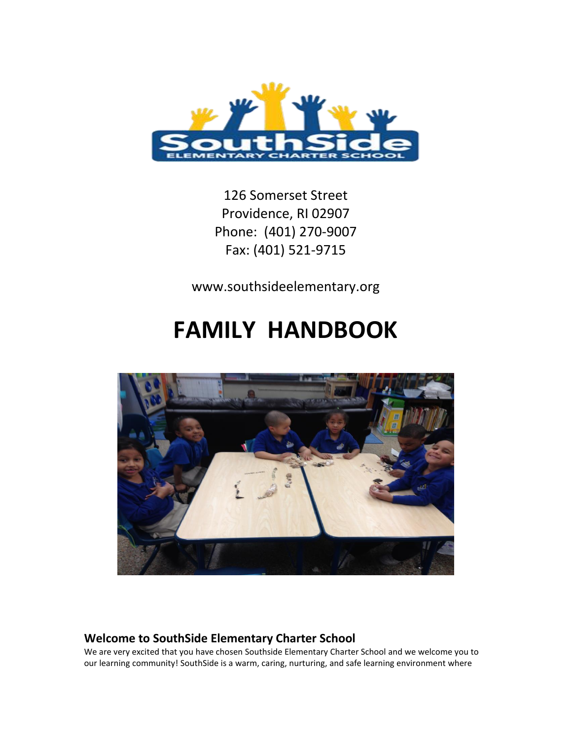

126 Somerset Street Providence, RI 02907 Phone: (401) 270-9007 Fax: (401) 521-9715

www.southsideelementary.org

# **FAMILY HANDBOOK**



# **Welcome to SouthSide Elementary Charter School**

We are very excited that you have chosen Southside Elementary Charter School and we welcome you to our learning community! SouthSide is a warm, caring, nurturing, and safe learning environment where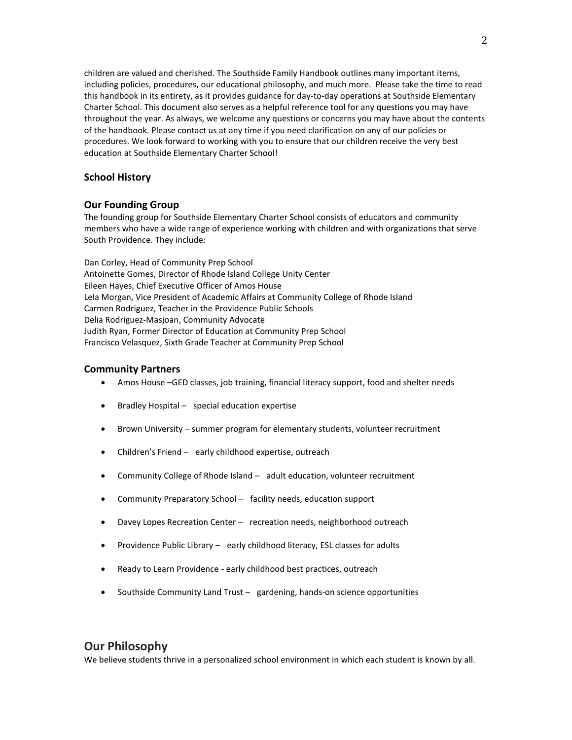children are valued and cherished. The Southside Family Handbook outlines many important items, including policies, procedures, our educational philosophy, and much more. Please take the time to read this handbook in its entirety, as it provides guidance for day-to-day operations at Southside Elementary Charter School. This document also serves as a helpful reference tool for any questions you may have throughout the year. As always, we welcome any questions or concerns you may have about the contents of the handbook. Please contact us at any time if you need clarification on any of our policies or procedures. We look forward to working with you to ensure that our children receive the very best education at Southside Elementary Charter School!

#### **School History**

#### **Our Founding Group**

The founding group for Southside Elementary Charter School consists of educators and community members who have a wide range of experience working with children and with organizations that serve South Providence. They include:

Dan Corley, Head of Community Prep School Antoinette Gomes, Director of Rhode Island College Unity Center Eileen Hayes, Chief Executive Officer of Amos House Lela Morgan, Vice President of Academic Affairs at Community College of Rhode Island Carmen Rodriguez, Teacher in the Providence Public Schools Delia Rodriguez-Masjoan, Community Advocate Judith Ryan, Former Director of Education at Community Prep School Francisco Velasquez, Sixth Grade Teacher at Community Prep School

#### **Community Partners**

- Amos House –GED classes, job training, financial literacy support, food and shelter needs
- Bradley Hospital special education expertise
- Brown University summer program for elementary students, volunteer recruitment
- Children's Friend early childhood expertise, outreach
- Community College of Rhode Island adult education, volunteer recruitment
- Community Preparatory School facility needs, education support
- Davey Lopes Recreation Center recreation needs, neighborhood outreach
- Providence Public Library early childhood literacy, ESL classes for adults
- Ready to Learn Providence early childhood best practices, outreach
- Southside Community Land Trust gardening, hands-on science opportunities

### **Our Philosophy**

We believe students thrive in a personalized school environment in which each student is known by all.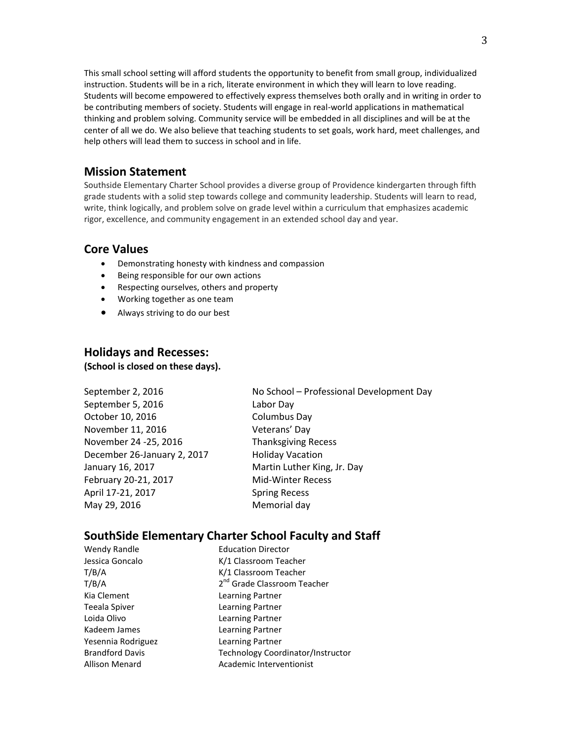This small school setting will afford students the opportunity to benefit from small group, individualized instruction. Students will be in a rich, literate environment in which they will learn to love reading. Students will become empowered to effectively express themselves both orally and in writing in order to be contributing members of society. Students will engage in real-world applications in mathematical thinking and problem solving. Community service will be embedded in all disciplines and will be at the center of all we do. We also believe that teaching students to set goals, work hard, meet challenges, and help others will lead them to success in school and in life.

### **Mission Statement**

Southside Elementary Charter School provides a diverse group of Providence kindergarten through fifth grade students with a solid step towards college and community leadership. Students will learn to read, write, think logically, and problem solve on grade level within a curriculum that emphasizes academic rigor, excellence, and community engagement in an extended school day and year.

### **Core Values**

- Demonstrating honesty with kindness and compassion
- Being responsible for our own actions
- Respecting ourselves, others and property
- Working together as one team
- Always striving to do our best

### **Holidays and Recesses:**

**(School is closed on these days).** 

| September 2, 2016           | No School - Professional Development Day |  |  |
|-----------------------------|------------------------------------------|--|--|
| September 5, 2016           | Labor Day                                |  |  |
| October 10, 2016            | Columbus Day                             |  |  |
| November 11, 2016           | Veterans' Day                            |  |  |
| November 24 -25, 2016       | <b>Thanksgiving Recess</b>               |  |  |
| December 26-January 2, 2017 | <b>Holiday Vacation</b>                  |  |  |
| January 16, 2017            | Martin Luther King, Jr. Day              |  |  |
| February 20-21, 2017        | Mid-Winter Recess                        |  |  |
| April 17-21, 2017           | <b>Spring Recess</b>                     |  |  |
| May 29, 2016                | Memorial day                             |  |  |
|                             |                                          |  |  |

# **SouthSide Elementary Charter School Faculty and Staff**

| Wendy Randle           | <b>Education Director</b>               |  |  |
|------------------------|-----------------------------------------|--|--|
| Jessica Goncalo        | K/1 Classroom Teacher                   |  |  |
| T/B/A                  | K/1 Classroom Teacher                   |  |  |
| T/B/A                  | 2 <sup>nd</sup> Grade Classroom Teacher |  |  |
| Kia Clement            | Learning Partner                        |  |  |
| Teeala Spiver          | Learning Partner                        |  |  |
| Loida Olivo            | Learning Partner                        |  |  |
| Kadeem James           | Learning Partner                        |  |  |
| Yesennia Rodriguez     | Learning Partner                        |  |  |
| <b>Brandford Davis</b> | Technology Coordinator/Instructor       |  |  |
| Allison Menard         | Academic Interventionist                |  |  |
|                        |                                         |  |  |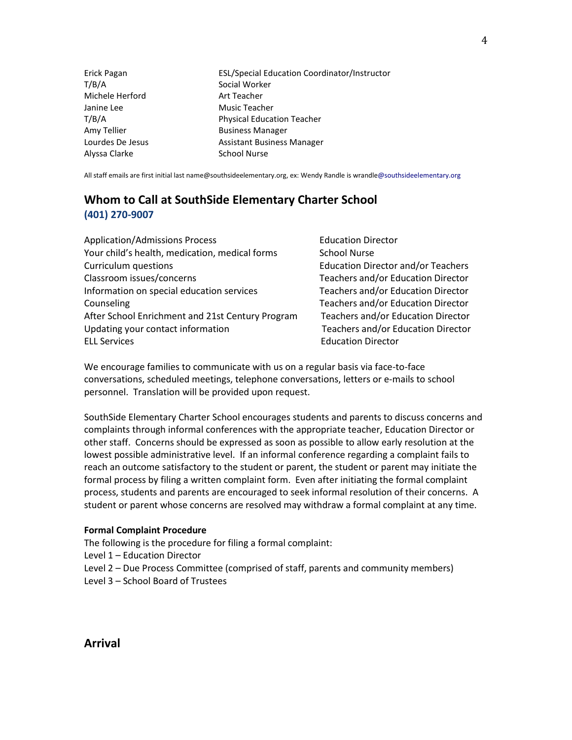| Erick Pagan      | ESL/Special Education Coordinator/Instructor |
|------------------|----------------------------------------------|
| T/B/A            | Social Worker                                |
| Michele Herford  | Art Teacher                                  |
| Janine Lee       | Music Teacher                                |
| T/B/A            | <b>Physical Education Teacher</b>            |
| Amy Tellier      | <b>Business Manager</b>                      |
| Lourdes De Jesus | Assistant Business Manager                   |
| Alyssa Clarke    | <b>School Nurse</b>                          |

All staff emails are first initial last name@southsideelementary.org, ex: Wendy Randle is wrandle@southsideelementary.org

# **Whom to Call at SouthSide Elementary Charter School (401) 270-9007**

| <b>Application/Admissions Process</b>            | <b>Education Director</b>                 |
|--------------------------------------------------|-------------------------------------------|
| Your child's health, medication, medical forms   | <b>School Nurse</b>                       |
| Curriculum questions                             | <b>Education Director and/or Teachers</b> |
| Classroom issues/concerns                        | Teachers and/or Education Director        |
| Information on special education services        | Teachers and/or Education Director        |
| Counseling                                       | Teachers and/or Education Director        |
| After School Enrichment and 21st Century Program | Teachers and/or Education Director        |
| Updating your contact information                | <b>Teachers and/or Education Director</b> |
| <b>ELL Services</b>                              | <b>Education Director</b>                 |

We encourage families to communicate with us on a regular basis via face-to-face conversations, scheduled meetings, telephone conversations, letters or e-mails to school personnel. Translation will be provided upon request.

SouthSide Elementary Charter School encourages students and parents to discuss concerns and complaints through informal conferences with the appropriate teacher, Education Director or other staff. Concerns should be expressed as soon as possible to allow early resolution at the lowest possible administrative level. If an informal conference regarding a complaint fails to reach an outcome satisfactory to the student or parent, the student or parent may initiate the formal process by filing a written complaint form. Even after initiating the formal complaint process, students and parents are encouraged to seek informal resolution of their concerns. A student or parent whose concerns are resolved may withdraw a formal complaint at any time.

#### **Formal Complaint Procedure**

The following is the procedure for filing a formal complaint:

Level 1 – Education Director

Level 2 – Due Process Committee (comprised of staff, parents and community members)

Level 3 – School Board of Trustees

**Arrival**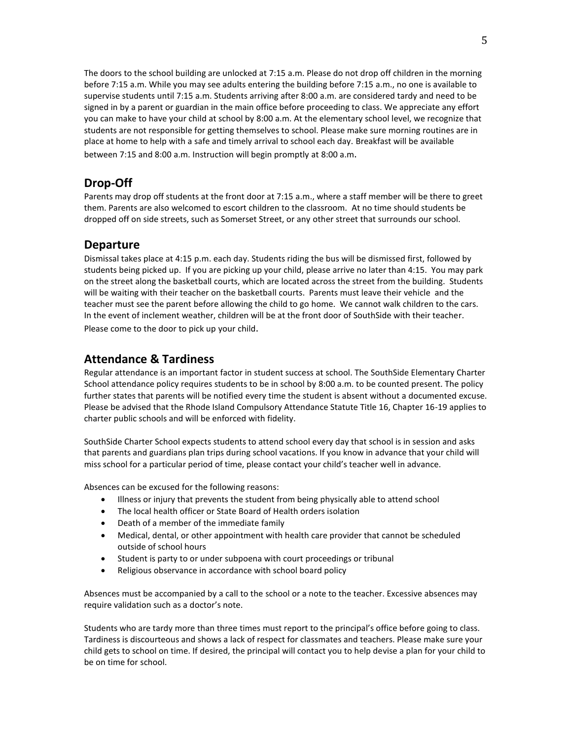The doors to the school building are unlocked at 7:15 a.m. Please do not drop off children in the morning before 7:15 a.m. While you may see adults entering the building before 7:15 a.m., no one is available to supervise students until 7:15 a.m. Students arriving after 8:00 a.m. are considered tardy and need to be signed in by a parent or guardian in the main office before proceeding to class. We appreciate any effort you can make to have your child at school by 8:00 a.m. At the elementary school level, we recognize that students are not responsible for getting themselves to school. Please make sure morning routines are in place at home to help with a safe and timely arrival to school each day. Breakfast will be available between 7:15 and 8:00 a.m. Instruction will begin promptly at 8:00 a.m.

# **Drop-Off**

Parents may drop off students at the front door at 7:15 a.m., where a staff member will be there to greet them. Parents are also welcomed to escort children to the classroom. At no time should students be dropped off on side streets, such as Somerset Street, or any other street that surrounds our school.

### **Departure**

Dismissal takes place at 4:15 p.m. each day. Students riding the bus will be dismissed first, followed by students being picked up. If you are picking up your child, please arrive no later than 4:15. You may park on the street along the basketball courts, which are located across the street from the building. Students will be waiting with their teacher on the basketball courts. Parents must leave their vehicle and the teacher must see the parent before allowing the child to go home. We cannot walk children to the cars. In the event of inclement weather, children will be at the front door of SouthSide with their teacher. Please come to the door to pick up your child.

# **Attendance & Tardiness**

Regular attendance is an important factor in student success at school. The SouthSide Elementary Charter School attendance policy requires students to be in school by 8:00 a.m. to be counted present. The policy further states that parents will be notified every time the student is absent without a documented excuse. Please be advised that the Rhode Island Compulsory Attendance Statute Title 16, Chapter 16-19 applies to charter public schools and will be enforced with fidelity.

SouthSide Charter School expects students to attend school every day that school is in session and asks that parents and guardians plan trips during school vacations. If you know in advance that your child will miss school for a particular period of time, please contact your child's teacher well in advance.

Absences can be excused for the following reasons:

- Illness or injury that prevents the student from being physically able to attend school
- The local health officer or State Board of Health orders isolation
- Death of a member of the immediate family
- Medical, dental, or other appointment with health care provider that cannot be scheduled outside of school hours
- Student is party to or under subpoena with court proceedings or tribunal
- Religious observance in accordance with school board policy

Absences must be accompanied by a call to the school or a note to the teacher. Excessive absences may require validation such as a doctor's note.

Students who are tardy more than three times must report to the principal's office before going to class. Tardiness is discourteous and shows a lack of respect for classmates and teachers. Please make sure your child gets to school on time. If desired, the principal will contact you to help devise a plan for your child to be on time for school.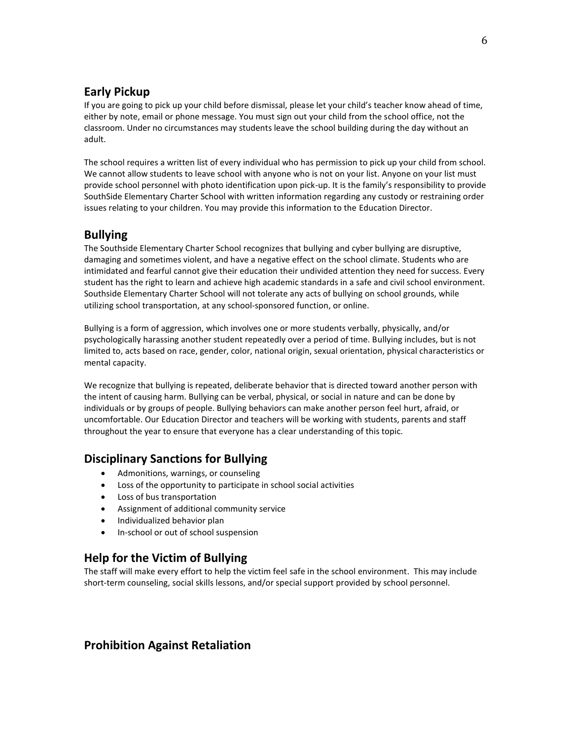# **Early Pickup**

If you are going to pick up your child before dismissal, please let your child's teacher know ahead of time, either by note, email or phone message. You must sign out your child from the school office, not the classroom. Under no circumstances may students leave the school building during the day without an adult.

The school requires a written list of every individual who has permission to pick up your child from school. We cannot allow students to leave school with anyone who is not on your list. Anyone on your list must provide school personnel with photo identification upon pick-up. It is the family's responsibility to provide SouthSide Elementary Charter School with written information regarding any custody or restraining order issues relating to your children. You may provide this information to the Education Director.

# **Bullying**

The Southside Elementary Charter School recognizes that bullying and cyber bullying are disruptive, damaging and sometimes violent, and have a negative effect on the school climate. Students who are intimidated and fearful cannot give their education their undivided attention they need for success. Every student has the right to learn and achieve high academic standards in a safe and civil school environment. Southside Elementary Charter School will not tolerate any acts of bullying on school grounds, while utilizing school transportation, at any school-sponsored function, or online.

Bullying is a form of aggression, which involves one or more students verbally, physically, and/or psychologically harassing another student repeatedly over a period of time. Bullying includes, but is not limited to, acts based on race, gender, color, national origin, sexual orientation, physical characteristics or mental capacity.

We recognize that bullying is repeated, deliberate behavior that is directed toward another person with the intent of causing harm. Bullying can be verbal, physical, or social in nature and can be done by individuals or by groups of people. Bullying behaviors can make another person feel hurt, afraid, or uncomfortable. Our Education Director and teachers will be working with students, parents and staff throughout the year to ensure that everyone has a clear understanding of this topic.

# **Disciplinary Sanctions for Bullying**

- Admonitions, warnings, or counseling
- Loss of the opportunity to participate in school social activities
- Loss of bus transportation
- Assignment of additional community service
- Individualized behavior plan
- In-school or out of school suspension

### **Help for the Victim of Bullying**

The staff will make every effort to help the victim feel safe in the school environment. This may include short-term counseling, social skills lessons, and/or special support provided by school personnel.

# **Prohibition Against Retaliation**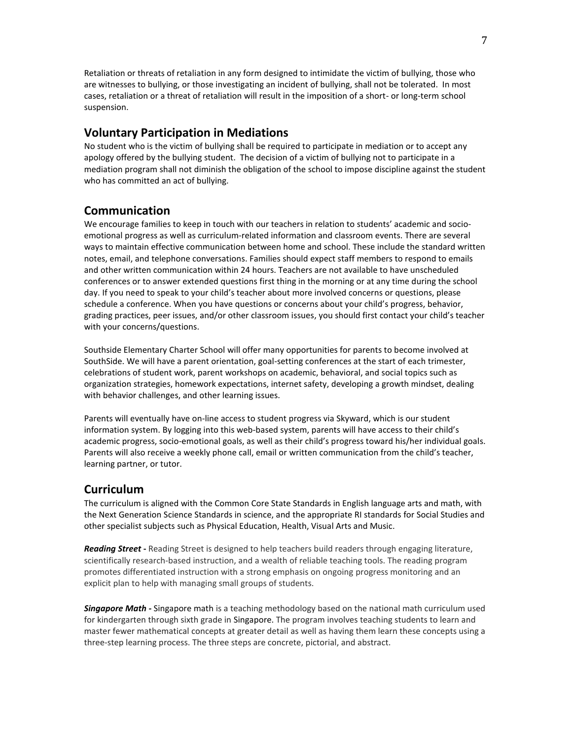Retaliation or threats of retaliation in any form designed to intimidate the victim of bullying, those who are witnesses to bullying, or those investigating an incident of bullying, shall not be tolerated. In most cases, retaliation or a threat of retaliation will result in the imposition of a short- or long-term school suspension.

### **Voluntary Participation in Mediations**

No student who is the victim of bullying shall be required to participate in mediation or to accept any apology offered by the bullying student. The decision of a victim of bullying not to participate in a mediation program shall not diminish the obligation of the school to impose discipline against the student who has committed an act of bullying.

### **Communication**

We encourage families to keep in touch with our teachers in relation to students' academic and socioemotional progress as well as curriculum-related information and classroom events. There are several ways to maintain effective communication between home and school. These include the standard written notes, email, and telephone conversations. Families should expect staff members to respond to emails and other written communication within 24 hours. Teachers are not available to have unscheduled conferences or to answer extended questions first thing in the morning or at any time during the school day. If you need to speak to your child's teacher about more involved concerns or questions, please schedule a conference. When you have questions or concerns about your child's progress, behavior, grading practices, peer issues, and/or other classroom issues, you should first contact your child's teacher with your concerns/questions.

Southside Elementary Charter School will offer many opportunities for parents to become involved at SouthSide. We will have a parent orientation, goal-setting conferences at the start of each trimester, celebrations of student work, parent workshops on academic, behavioral, and social topics such as organization strategies, homework expectations, internet safety, developing a growth mindset, dealing with behavior challenges, and other learning issues.

Parents will eventually have on-line access to student progress via Skyward, which is our student information system. By logging into this web-based system, parents will have access to their child's academic progress, socio-emotional goals, as well as their child's progress toward his/her individual goals. Parents will also receive a weekly phone call, email or written communication from the child's teacher, learning partner, or tutor.

### **Curriculum**

The curriculum is aligned with the Common Core State Standards in English language arts and math, with the Next Generation Science Standards in science, and the appropriate RI standards for Social Studies and other specialist subjects such as Physical Education, Health, Visual Arts and Music.

*Reading Street* **-** Reading Street is designed to help teachers build readers through engaging literature, scientifically research-based instruction, and a wealth of reliable teaching tools. The reading program promotes differentiated instruction with a strong emphasis on ongoing progress monitoring and an explicit plan to help with managing small groups of students.

*Singapore Math -* Singapore math is a teaching methodology based on the national math curriculum used for kindergarten through sixth grade in Singapore. The program involves teaching students to learn and master fewer mathematical concepts at greater detail as well as having them learn these concepts using a three-step learning process. The three steps are concrete, pictorial, and abstract.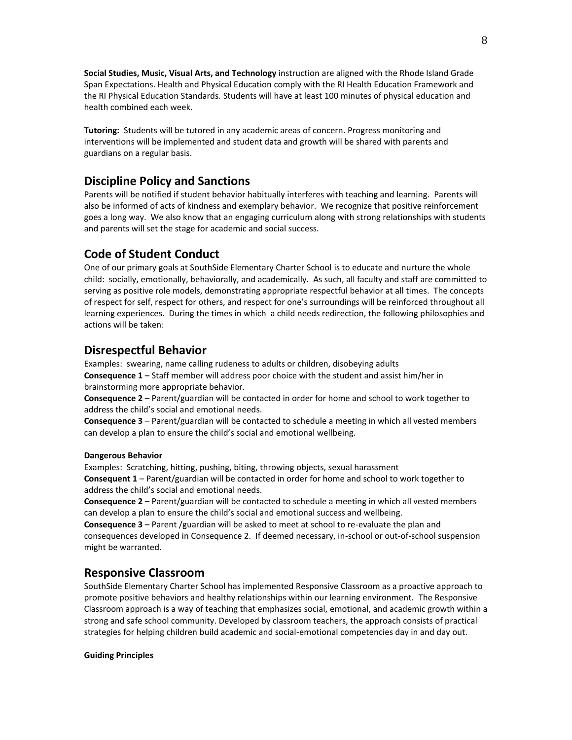**Social Studies, Music, Visual Arts, and Technology** instruction are aligned with the Rhode Island Grade Span Expectations. Health and Physical Education comply with the RI Health Education Framework and the RI Physical Education Standards. Students will have at least 100 minutes of physical education and health combined each week.

**Tutoring:** Students will be tutored in any academic areas of concern. Progress monitoring and interventions will be implemented and student data and growth will be shared with parents and guardians on a regular basis.

# **Discipline Policy and Sanctions**

Parents will be notified if student behavior habitually interferes with teaching and learning. Parents will also be informed of acts of kindness and exemplary behavior. We recognize that positive reinforcement goes a long way. We also know that an engaging curriculum along with strong relationships with students and parents will set the stage for academic and social success.

# **Code of Student Conduct**

One of our primary goals at SouthSide Elementary Charter School is to educate and nurture the whole child: socially, emotionally, behaviorally, and academically. As such, all faculty and staff are committed to serving as positive role models, demonstrating appropriate respectful behavior at all times. The concepts of respect for self, respect for others, and respect for one's surroundings will be reinforced throughout all learning experiences. During the times in which a child needs redirection, the following philosophies and actions will be taken:

# **Disrespectful Behavior**

Examples: swearing, name calling rudeness to adults or children, disobeying adults **Consequence 1** – Staff member will address poor choice with the student and assist him/her in brainstorming more appropriate behavior.

**Consequence 2** – Parent/guardian will be contacted in order for home and school to work together to address the child's social and emotional needs.

**Consequence 3** – Parent/guardian will be contacted to schedule a meeting in which all vested members can develop a plan to ensure the child's social and emotional wellbeing.

#### **Dangerous Behavior**

Examples: Scratching, hitting, pushing, biting, throwing objects, sexual harassment **Consequent 1** – Parent/guardian will be contacted in order for home and school to work together to address the child's social and emotional needs.

**Consequence 2** – Parent/guardian will be contacted to schedule a meeting in which all vested members can develop a plan to ensure the child's social and emotional success and wellbeing.

**Consequence 3** – Parent /guardian will be asked to meet at school to re-evaluate the plan and consequences developed in Consequence 2. If deemed necessary, in-school or out-of-school suspension might be warranted.

### **Responsive Classroom**

SouthSide Elementary Charter School has implemented Responsive Classroom as a proactive approach to promote positive behaviors and healthy relationships within our learning environment. The Responsive Classroom approach is a way of teaching that emphasizes social, emotional, and academic growth within a strong and safe school community. Developed by classroom teachers, the approach consists of practical strategies for helping children build academic and social-emotional competencies day in and day out.

#### **Guiding Principles**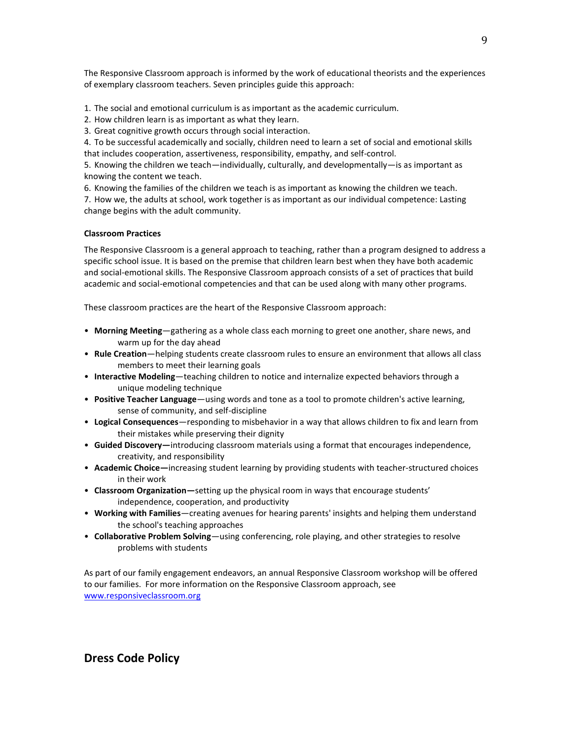The Responsive Classroom approach is informed by the work of educational theorists and the experiences of exemplary classroom teachers. Seven principles guide this approach:

- 1. The social and emotional curriculum is as important as the academic curriculum.
- 2. How children learn is as important as what they learn.
- 3. Great cognitive growth occurs through social interaction.

4. To be successful academically and socially, children need to learn a set of social and emotional skills that includes cooperation, assertiveness, responsibility, empathy, and self-control.

5. Knowing the children we teach—individually, culturally, and developmentally—is as important as knowing the content we teach.

6. Knowing the families of the children we teach is as important as knowing the children we teach.

7. How we, the adults at school, work together is as important as our individual competence: Lasting change begins with the adult community.

#### **Classroom Practices**

The Responsive Classroom is a general approach to teaching, rather than a program designed to address a specific school issue. It is based on the premise that children learn best when they have both academic and social-emotional skills. The Responsive Classroom approach consists of a set of practices that build academic and social-emotional competencies and that can be used along with many other programs.

These classroom practices are the heart of the Responsive Classroom approach:

- **Morning Meeting**—gathering as a whole class each morning to greet one another, share news, and warm up for the day ahead
- **Rule Creation**—helping students create classroom rules to ensure an environment that allows all class members to meet their learning goals
- **Interactive Modeling**—teaching children to notice and internalize expected behaviors through a unique modeling technique
- **Positive Teacher Language**—using words and tone as a tool to promote children's active learning, sense of community, and self-discipline
- **Logical Consequences**—responding to misbehavior in a way that allows children to fix and learn from their mistakes while preserving their dignity
- **Guided Discovery—**introducing classroom materials using a format that encourages independence, creativity, and responsibility
- **Academic Choice—**increasing student learning by providing students with teacher-structured choices in their work
- **Classroom Organization—**setting up the physical room in ways that encourage students' independence, cooperation, and productivity
- **Working with Families**—creating avenues for hearing parents' insights and helping them understand the school's teaching approaches
- **Collaborative Problem Solving**—using conferencing, role playing, and other strategies to resolve problems with students

As part of our family engagement endeavors, an annual Responsive Classroom workshop will be offered to our families. For more information on the Responsive Classroom approach, see [www.responsiveclassroom.org](http://www.responsiveclassroom.org/)

**Dress Code Policy**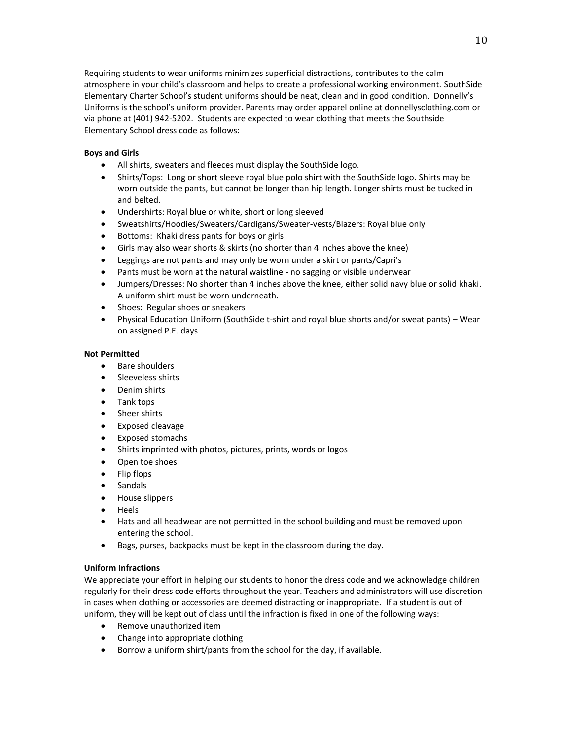Requiring students to wear uniforms minimizes superficial distractions, contributes to the calm atmosphere in your child's classroom and helps to create a professional working environment. SouthSide Elementary Charter School's student uniforms should be neat, clean and in good condition. Donnelly's Uniforms is the school's uniform provider. Parents may order apparel online at donnellysclothing.com or via phone at (401) 942-5202. Students are expected to wear clothing that meets the Southside Elementary School dress code as follows:

#### **Boys and Girls**

- All shirts, sweaters and fleeces must display the SouthSide logo.
- Shirts/Tops: Long or short sleeve royal blue polo shirt with the SouthSide logo. Shirts may be worn outside the pants, but cannot be longer than hip length. Longer shirts must be tucked in and belted.
- Undershirts: Royal blue or white, short or long sleeved
- Sweatshirts/Hoodies/Sweaters/Cardigans/Sweater-vests/Blazers: Royal blue only
- Bottoms: Khaki dress pants for boys or girls
- Girls may also wear shorts & skirts (no shorter than 4 inches above the knee)
- Leggings are not pants and may only be worn under a skirt or pants/Capri's
- Pants must be worn at the natural waistline no sagging or visible underwear
- Jumpers/Dresses: No shorter than 4 inches above the knee, either solid navy blue or solid khaki. A uniform shirt must be worn underneath.
- Shoes: Regular shoes or sneakers
- Physical Education Uniform (SouthSide t-shirt and royal blue shorts and/or sweat pants) Wear on assigned P.E. days.

#### **Not Permitted**

- Bare shoulders
- Sleeveless shirts
- Denim shirts
- Tank tops
- Sheer shirts
- **•** Exposed cleavage
- Exposed stomachs
- Shirts imprinted with photos, pictures, prints, words or logos
- Open toe shoes
- Flip flops
- Sandals
- House slippers
- Heels
- Hats and all headwear are not permitted in the school building and must be removed upon entering the school.
- Bags, purses, backpacks must be kept in the classroom during the day.

#### **Uniform Infractions**

We appreciate your effort in helping our students to honor the dress code and we acknowledge children regularly for their dress code efforts throughout the year. Teachers and administrators will use discretion in cases when clothing or accessories are deemed distracting or inappropriate. If a student is out of uniform, they will be kept out of class until the infraction is fixed in one of the following ways:

- Remove unauthorized item
- Change into appropriate clothing
- Borrow a uniform shirt/pants from the school for the day, if available.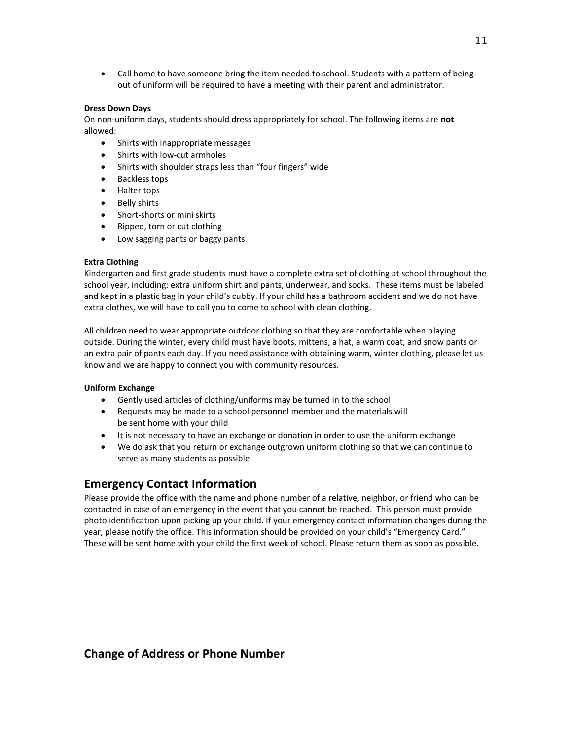Call home to have someone bring the item needed to school. Students with a pattern of being out of uniform will be required to have a meeting with their parent and administrator.

#### **Dress Down Days**

On non-uniform days, students should dress appropriately for school. The following items are **not**  allowed:

- Shirts with inappropriate messages
- Shirts with low-cut armholes
- Shirts with shoulder straps less than "four fingers" wide
- Backless tops
- Halter tops
- Belly shirts
- Short-shorts or mini skirts
- Ripped, torn or cut clothing
- Low sagging pants or baggy pants

#### **Extra Clothing**

Kindergarten and first grade students must have a complete extra set of clothing at school throughout the school year, including: extra uniform shirt and pants, underwear, and socks. These items must be labeled and kept in a plastic bag in your child's cubby. If your child has a bathroom accident and we do not have extra clothes, we will have to call you to come to school with clean clothing.

All children need to wear appropriate outdoor clothing so that they are comfortable when playing outside. During the winter, every child must have boots, mittens, a hat, a warm coat, and snow pants or an extra pair of pants each day. If you need assistance with obtaining warm, winter clothing, please let us know and we are happy to connect you with community resources.

#### **Uniform Exchange**

- Gently used articles of clothing/uniforms may be turned in to the school
- Requests may be made to a school personnel member and the materials will be sent home with your child
- It is not necessary to have an exchange or donation in order to use the uniform exchange
- We do ask that you return or exchange outgrown uniform clothing so that we can continue to serve as many students as possible

### **Emergency Contact Information**

Please provide the office with the name and phone number of a relative, neighbor, or friend who can be contacted in case of an emergency in the event that you cannot be reached. This person must provide photo identification upon picking up your child. If your emergency contact information changes during the year, please notify the office. This information should be provided on your child's "Emergency Card." These will be sent home with your child the first week of school. Please return them as soon as possible.

### **Change of Address or Phone Number**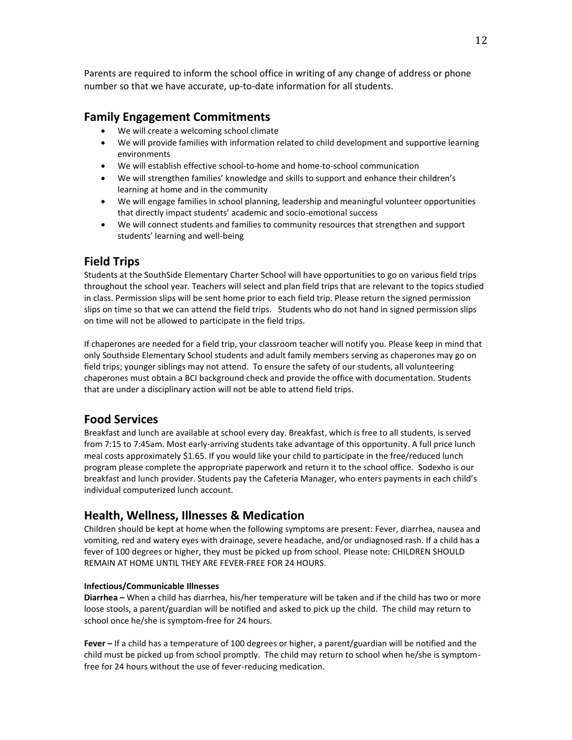Parents are required to inform the school office in writing of any change of address or phone number so that we have accurate, up-to-date information for all students.

### **Family Engagement Commitments**

- We will create a welcoming school climate
- We will provide families with information related to child development and supportive learning environments
- We will establish effective school-to-home and home-to-school communication
- We will strengthen families' knowledge and skills to support and enhance their children's learning at home and in the community
- We will engage families in school planning, leadership and meaningful volunteer opportunities that directly impact students' academic and socio-emotional success
- We will connect students and families to community resources that strengthen and support students' learning and well-being

### **Field Trips**

Students at the SouthSide Elementary Charter School will have opportunities to go on various field trips throughout the school year. Teachers will select and plan field trips that are relevant to the topics studied in class. Permission slips will be sent home prior to each field trip. Please return the signed permission slips on time so that we can attend the field trips. Students who do not hand in signed permission slips on time will not be allowed to participate in the field trips.

If chaperones are needed for a field trip, your classroom teacher will notify you. Please keep in mind that only Southside Elementary School students and adult family members serving as chaperones may go on field trips; younger siblings may not attend. To ensure the safety of our students, all volunteering chaperones must obtain a BCI background check and provide the office with documentation. Students that are under a disciplinary action will not be able to attend field trips.

### **Food Services**

Breakfast and lunch are available at school every day. Breakfast, which is free to all students, is served from 7:15 to 7:45am. Most early-arriving students take advantage of this opportunity. A full price lunch meal costs approximately \$1.65. If you would like your child to participate in the free/reduced lunch program please complete the appropriate paperwork and return it to the school office. Sodexho is our breakfast and lunch provider. Students pay the Cafeteria Manager, who enters payments in each child's individual computerized lunch account.

### **Health, Wellness, Illnesses & Medication**

Children should be kept at home when the following symptoms are present: Fever, diarrhea, nausea and vomiting, red and watery eyes with drainage, severe headache, and/or undiagnosed rash. If a child has a fever of 100 degrees or higher, they must be picked up from school. Please note: CHILDREN SHOULD REMAIN AT HOME UNTIL THEY ARE FEVER-FREE FOR 24 HOURS.

#### **Infectious/Communicable Illnesses**

**Diarrhea –** When a child has diarrhea, his/her temperature will be taken and if the child has two or more loose stools, a parent/guardian will be notified and asked to pick up the child. The child may return to school once he/she is symptom-free for 24 hours.

**Fever –** If a child has a temperature of 100 degrees or higher, a parent/guardian will be notified and the child must be picked up from school promptly. The child may return to school when he/she is symptomfree for 24 hours without the use of fever-reducing medication.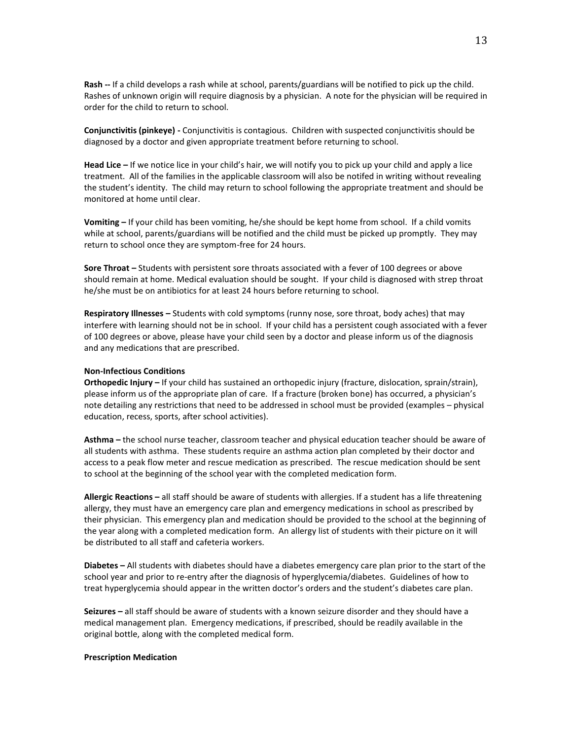**Rash --** If a child develops a rash while at school, parents/guardians will be notified to pick up the child. Rashes of unknown origin will require diagnosis by a physician. A note for the physician will be required in order for the child to return to school.

**Conjunctivitis (pinkeye) -** Conjunctivitis is contagious. Children with suspected conjunctivitis should be diagnosed by a doctor and given appropriate treatment before returning to school.

**Head Lice –** If we notice lice in your child's hair, we will notify you to pick up your child and apply a lice treatment. All of the families in the applicable classroom will also be notifed in writing without revealing the student's identity. The child may return to school following the appropriate treatment and should be monitored at home until clear.

**Vomiting –** If your child has been vomiting, he/she should be kept home from school. If a child vomits while at school, parents/guardians will be notified and the child must be picked up promptly. They may return to school once they are symptom-free for 24 hours.

**Sore Throat –** Students with persistent sore throats associated with a fever of 100 degrees or above should remain at home. Medical evaluation should be sought. If your child is diagnosed with strep throat he/she must be on antibiotics for at least 24 hours before returning to school.

**Respiratory Illnesses –** Students with cold symptoms (runny nose, sore throat, body aches) that may interfere with learning should not be in school. If your child has a persistent cough associated with a fever of 100 degrees or above, please have your child seen by a doctor and please inform us of the diagnosis and any medications that are prescribed.

#### **Non-Infectious Conditions**

**Orthopedic Injury –** If your child has sustained an orthopedic injury (fracture, dislocation, sprain/strain), please inform us of the appropriate plan of care. If a fracture (broken bone) has occurred, a physician's note detailing any restrictions that need to be addressed in school must be provided (examples – physical education, recess, sports, after school activities).

**Asthma –** the school nurse teacher, classroom teacher and physical education teacher should be aware of all students with asthma. These students require an asthma action plan completed by their doctor and access to a peak flow meter and rescue medication as prescribed. The rescue medication should be sent to school at the beginning of the school year with the completed medication form.

**Allergic Reactions –** all staff should be aware of students with allergies. If a student has a life threatening allergy, they must have an emergency care plan and emergency medications in school as prescribed by their physician. This emergency plan and medication should be provided to the school at the beginning of the year along with a completed medication form. An allergy list of students with their picture on it will be distributed to all staff and cafeteria workers.

**Diabetes –** All students with diabetes should have a diabetes emergency care plan prior to the start of the school year and prior to re-entry after the diagnosis of hyperglycemia/diabetes. Guidelines of how to treat hyperglycemia should appear in the written doctor's orders and the student's diabetes care plan.

**Seizures –** all staff should be aware of students with a known seizure disorder and they should have a medical management plan. Emergency medications, if prescribed, should be readily available in the original bottle, along with the completed medical form.

#### **Prescription Medication**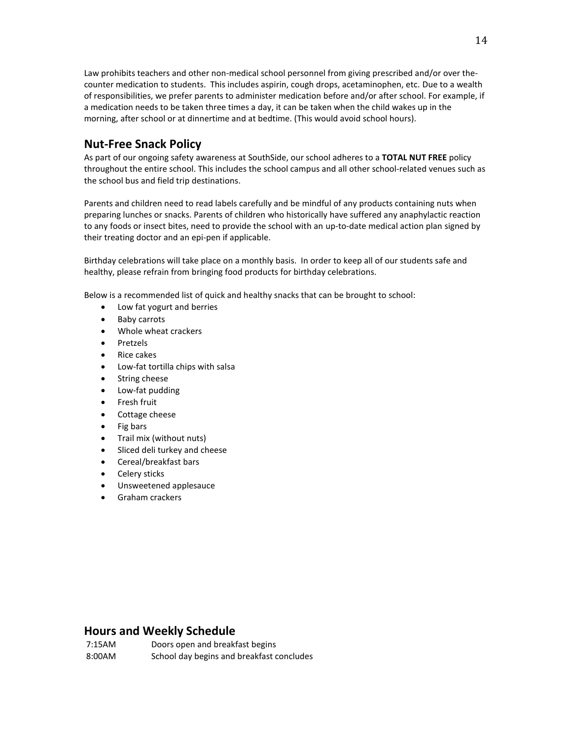Law prohibits teachers and other non-medical school personnel from giving prescribed and/or over thecounter medication to students. This includes aspirin, cough drops, acetaminophen, etc. Due to a wealth of responsibilities, we prefer parents to administer medication before and/or after school. For example, if a medication needs to be taken three times a day, it can be taken when the child wakes up in the morning, after school or at dinnertime and at bedtime. (This would avoid school hours).

### **Nut-Free Snack Policy**

As part of our ongoing safety awareness at SouthSide, our school adheres to a **TOTAL NUT FREE** policy throughout the entire school. This includes the school campus and all other school-related venues such as the school bus and field trip destinations.

Parents and children need to read labels carefully and be mindful of any products containing nuts when preparing lunches or snacks. Parents of children who historically have suffered any anaphylactic reaction to any foods or insect bites, need to provide the school with an up-to-date medical action plan signed by their treating doctor and an epi-pen if applicable.

Birthday celebrations will take place on a monthly basis. In order to keep all of our students safe and healthy, please refrain from bringing food products for birthday celebrations.

Below is a recommended list of quick and healthy snacks that can be brought to school:

- Low fat yogurt and berries
- Baby carrots
- Whole wheat crackers
- Pretzels
- Rice cakes
- Low-fat tortilla chips with salsa
- String cheese
- Low-fat pudding
- **•** Fresh fruit
- Cottage cheese
- Fig bars
- Trail mix (without nuts)
- Sliced deli turkey and cheese
- Cereal/breakfast bars
- Celery sticks
- Unsweetened applesauce
- Graham crackers

### **Hours and Weekly Schedule**

7:15AM Doors open and breakfast begins 8:00AM School day begins and breakfast concludes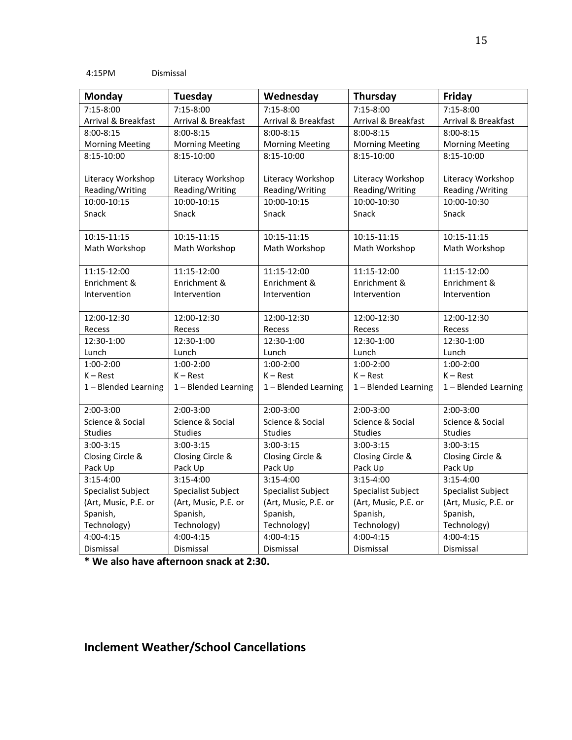| <b>Monday</b>          | <b>Tuesday</b>         | Wednesday              | Thursday               | Friday                 |
|------------------------|------------------------|------------------------|------------------------|------------------------|
| 7:15-8:00              | 7:15-8:00              | 7:15-8:00              | 7:15-8:00              | 7:15-8:00              |
| Arrival & Breakfast    | Arrival & Breakfast    | Arrival & Breakfast    | Arrival & Breakfast    | Arrival & Breakfast    |
| $8:00 - 8:15$          | $8:00 - 8:15$          | $8:00 - 8:15$          | $8:00 - 8:15$          | $8:00 - 8:15$          |
| <b>Morning Meeting</b> | <b>Morning Meeting</b> | <b>Morning Meeting</b> | <b>Morning Meeting</b> | <b>Morning Meeting</b> |
| 8:15-10:00             | 8:15-10:00             | 8:15-10:00             | 8:15-10:00             | 8:15-10:00             |
| Literacy Workshop      | Literacy Workshop      | Literacy Workshop      | Literacy Workshop      | Literacy Workshop      |
| Reading/Writing        | Reading/Writing        | Reading/Writing        | Reading/Writing        | Reading / Writing      |
| 10:00-10:15            | 10:00-10:15            | 10:00-10:15            | 10:00-10:30            | 10:00-10:30            |
| Snack                  | Snack                  | Snack                  | Snack                  | Snack                  |
| 10:15-11:15            | 10:15-11:15            | 10:15-11:15            | 10:15-11:15            | 10:15-11:15            |
| Math Workshop          | Math Workshop          | Math Workshop          | Math Workshop          | Math Workshop          |
| 11:15-12:00            | 11:15-12:00            | 11:15-12:00            | 11:15-12:00            | 11:15-12:00            |
| Enrichment &           | Enrichment &           | Enrichment &           | Enrichment &           | Enrichment &           |
| Intervention           | Intervention           | Intervention           | Intervention           | Intervention           |
| 12:00-12:30            | 12:00-12:30            | 12:00-12:30            | 12:00-12:30            | 12:00-12:30            |
| Recess                 | Recess                 | Recess                 | Recess                 | Recess                 |
| 12:30-1:00             | 12:30-1:00             | 12:30-1:00             | 12:30-1:00             | 12:30-1:00             |
| Lunch                  | Lunch                  | Lunch                  | Lunch                  | Lunch                  |
| 1:00-2:00              | $1:00-2:00$            | $1:00-2:00$            | $1:00-2:00$            | $1:00-2:00$            |
| $K - Rest$             | $K - Rest$             | $K - Rest$             | $K - Rest$             | $K - Rest$             |
| 1 - Blended Learning   | 1 - Blended Learning   | 1 - Blended Learning   | 1 - Blended Learning   | 1 - Blended Learning   |
| 2:00-3:00              | $2:00-3:00$            | $2:00-3:00$            | 2:00-3:00              | $2:00-3:00$            |
| Science & Social       | Science & Social       | Science & Social       | Science & Social       | Science & Social       |
| Studies                | Studies                | <b>Studies</b>         | Studies                | <b>Studies</b>         |
| $3:00-3:15$            | $3:00 - 3:15$          | $3:00-3:15$            | $3:00-3:15$            | $3:00 - 3:15$          |
| Closing Circle &       | Closing Circle &       | Closing Circle &       | Closing Circle &       | Closing Circle &       |
| Pack Up                | Pack Up                | Pack Up                | Pack Up                | Pack Up                |
| $3:15-4:00$            | $3:15-4:00$            | $3:15-4:00$            | $3:15-4:00$            | $3:15-4:00$            |
| Specialist Subject     | Specialist Subject     | Specialist Subject     | Specialist Subject     | Specialist Subject     |
| (Art, Music, P.E. or   | (Art, Music, P.E. or   | (Art, Music, P.E. or   | (Art, Music, P.E. or   | (Art, Music, P.E. or   |
| Spanish,               | Spanish,               | Spanish,               | Spanish,               | Spanish,               |
| Technology)            | Technology)            | Technology)            | Technology)            | Technology)            |
| 4:00-4:15              | 4:00-4:15              | $4:00 - 4:15$          | 4:00-4:15              | $4:00 - 4:15$          |
| Dismissal              | Dismissal              | Dismissal              | Dismissal              | Dismissal              |

**\* We also have afternoon snack at 2:30.**

# **Inclement Weather/School Cancellations**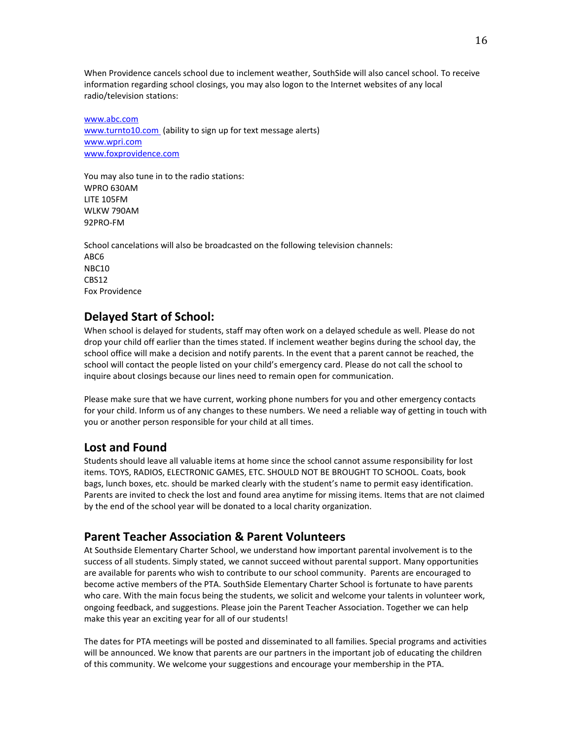When Providence cancels school due to inclement weather, SouthSide will also cancel school. To receive information regarding school closings, you may also logon to the Internet websites of any local radio/television stations:

[www.abc.com](http://www.abc.com/) [www.turnto10.com](http://www.turnto10.com/) (ability to sign up for text message alerts) [www.wpri.com](http://www.wpri.com/) [www.foxprovidence.com](http://www.foxprovidence.com/)

You may also tune in to the radio stations: WPRO 630AM LITE 105FM WLKW 790AM 92PRO-FM

School cancelations will also be broadcasted on the following television channels: ABC6 NBC10 CBS12 Fox Providence

# **Delayed Start of School:**

When school is delayed for students, staff may often work on a delayed schedule as well. Please do not drop your child off earlier than the times stated. If inclement weather begins during the school day, the school office will make a decision and notify parents. In the event that a parent cannot be reached, the school will contact the people listed on your child's emergency card. Please do not call the school to inquire about closings because our lines need to remain open for communication.

Please make sure that we have current, working phone numbers for you and other emergency contacts for your child. Inform us of any changes to these numbers. We need a reliable way of getting in touch with you or another person responsible for your child at all times.

### **Lost and Found**

Students should leave all valuable items at home since the school cannot assume responsibility for lost items. TOYS, RADIOS, ELECTRONIC GAMES, ETC. SHOULD NOT BE BROUGHT TO SCHOOL. Coats, book bags, lunch boxes, etc. should be marked clearly with the student's name to permit easy identification. Parents are invited to check the lost and found area anytime for missing items. Items that are not claimed by the end of the school year will be donated to a local charity organization.

### **Parent Teacher Association & Parent Volunteers**

At Southside Elementary Charter School, we understand how important parental involvement is to the success of all students. Simply stated, we cannot succeed without parental support. Many opportunities are available for parents who wish to contribute to our school community. Parents are encouraged to become active members of the PTA. SouthSide Elementary Charter School is fortunate to have parents who care. With the main focus being the students, we solicit and welcome your talents in volunteer work, ongoing feedback, and suggestions. Please join the Parent Teacher Association. Together we can help make this year an exciting year for all of our students!

The dates for PTA meetings will be posted and disseminated to all families. Special programs and activities will be announced. We know that parents are our partners in the important job of educating the children of this community. We welcome your suggestions and encourage your membership in the PTA.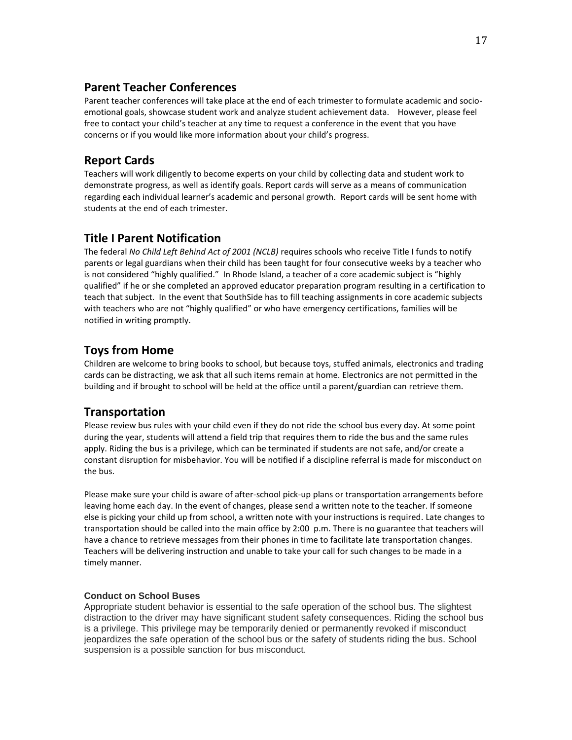## **Parent Teacher Conferences**

Parent teacher conferences will take place at the end of each trimester to formulate academic and socioemotional goals, showcase student work and analyze student achievement data. However, please feel free to contact your child's teacher at any time to request a conference in the event that you have concerns or if you would like more information about your child's progress.

# **Report Cards**

Teachers will work diligently to become experts on your child by collecting data and student work to demonstrate progress, as well as identify goals. Report cards will serve as a means of communication regarding each individual learner's academic and personal growth. Report cards will be sent home with students at the end of each trimester.

# **Title I Parent Notification**

The federal *No Child Left Behind Act of 2001 (NCLB)* requires schools who receive Title I funds to notify parents or legal guardians when their child has been taught for four consecutive weeks by a teacher who is not considered "highly qualified." In Rhode Island, a teacher of a core academic subject is "highly qualified" if he or she completed an approved educator preparation program resulting in a certification to teach that subject. In the event that SouthSide has to fill teaching assignments in core academic subjects with teachers who are not "highly qualified" or who have emergency certifications, families will be notified in writing promptly.

# **Toys from Home**

Children are welcome to bring books to school, but because toys, stuffed animals, electronics and trading cards can be distracting, we ask that all such items remain at home. Electronics are not permitted in the building and if brought to school will be held at the office until a parent/guardian can retrieve them.

# **Transportation**

Please review bus rules with your child even if they do not ride the school bus every day. At some point during the year, students will attend a field trip that requires them to ride the bus and the same rules apply. Riding the bus is a privilege, which can be terminated if students are not safe, and/or create a constant disruption for misbehavior. You will be notified if a discipline referral is made for misconduct on the bus.

Please make sure your child is aware of after-school pick-up plans or transportation arrangements before leaving home each day. In the event of changes, please send a written note to the teacher. If someone else is picking your child up from school, a written note with your instructions is required. Late changes to transportation should be called into the main office by 2:00 p.m. There is no guarantee that teachers will have a chance to retrieve messages from their phones in time to facilitate late transportation changes. Teachers will be delivering instruction and unable to take your call for such changes to be made in a timely manner.

### **Conduct on School Buses**

Appropriate student behavior is essential to the safe operation of the school bus. The slightest distraction to the driver may have significant student safety consequences. Riding the school bus is a privilege. This privilege may be temporarily denied or permanently revoked if misconduct jeopardizes the safe operation of the school bus or the safety of students riding the bus. School suspension is a possible sanction for bus misconduct.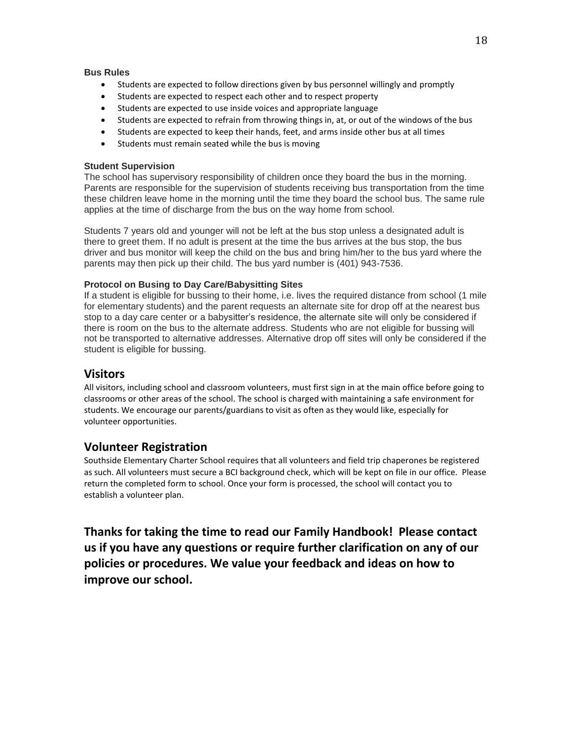#### **Bus Rules**

- Students are expected to follow directions given by bus personnel willingly and promptly
- Students are expected to respect each other and to respect property
- Students are expected to use inside voices and appropriate language
- Students are expected to refrain from throwing things in, at, or out of the windows of the bus
- Students are expected to keep their hands, feet, and arms inside other bus at all times
- Students must remain seated while the bus is moving

#### **Student Supervision**

The school has supervisory responsibility of children once they board the bus in the morning. Parents are responsible for the supervision of students receiving bus transportation from the time these children leave home in the morning until the time they board the school bus. The same rule applies at the time of discharge from the bus on the way home from school.

Students 7 years old and younger will not be left at the bus stop unless a designated adult is there to greet them. If no adult is present at the time the bus arrives at the bus stop, the bus driver and bus monitor will keep the child on the bus and bring him/her to the bus yard where the parents may then pick up their child. The bus yard number is (401) 943-7536.

#### **Protocol on Busing to Day Care/Babysitting Sites**

If a student is eligible for bussing to their home, i.e. lives the required distance from school (1 mile for elementary students) and the parent requests an alternate site for drop off at the nearest bus stop to a day care center or a babysitter's residence, the alternate site will only be considered if there is room on the bus to the alternate address. Students who are not eligible for bussing will not be transported to alternative addresses. Alternative drop off sites will only be considered if the student is eligible for bussing.

### **Visitors**

All visitors, including school and classroom volunteers, must first sign in at the main office before going to classrooms or other areas of the school. The school is charged with maintaining a safe environment for students. We encourage our parents/guardians to visit as often as they would like, especially for volunteer opportunities.

### **Volunteer Registration**

Southside Elementary Charter School requires that all volunteers and field trip chaperones be registered as such. All volunteers must secure a BCI background check, which will be kept on file in our office. Please return the completed form to school. Once your form is processed, the school will contact you to establish a volunteer plan.

**Thanks for taking the time to read our Family Handbook! Please contact us if you have any questions or require further clarification on any of our policies or procedures. We value your feedback and ideas on how to improve our school.**